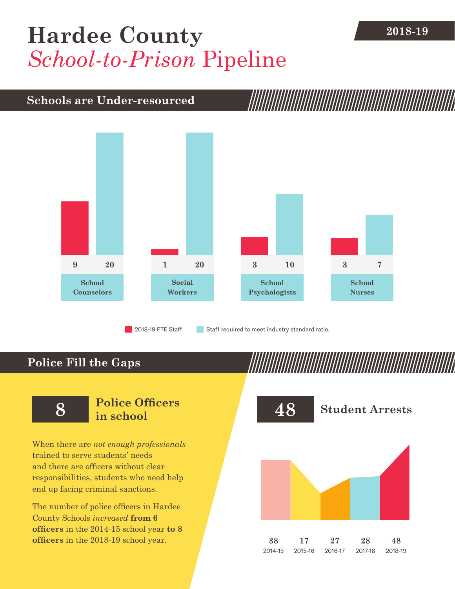## [Hardee County](DBF_County) **2018-19** *School-to-Prison* Pipeline

## **Schools are Under-resourced**



2018-19 FTE Staff **Staff required to meet industry standard ratio.** 

## **Police Fill the Gaps**

When there are *not enough professionals* trained to serve students' needs and there are officers without clear responsibilities, students who need help end up facing criminal sanctions.

The number of police officers in [Hardee](DBF_County)  [County](DBF_County) Schools *increased* **from [6](DBF_PO1415) officers** in the 2014-15 school year **to [8](DBF_PO) officers** in the 2018-19 school year.